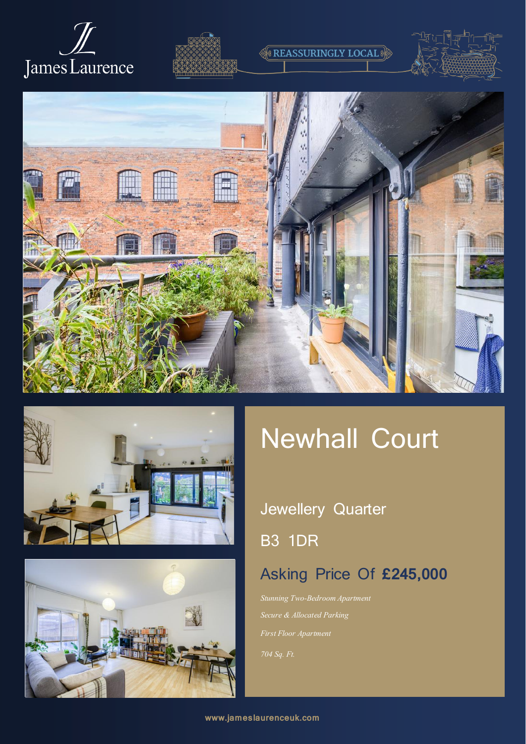









# Newhall Court

## Jewellery Quarter

**REASSURINGLY LOCAL** 

B3 1DR

### Asking Price Of **£245,000**

*Stunning Two-Bedroom Apartment Secure & Allocated Parking First Floor Apartment*